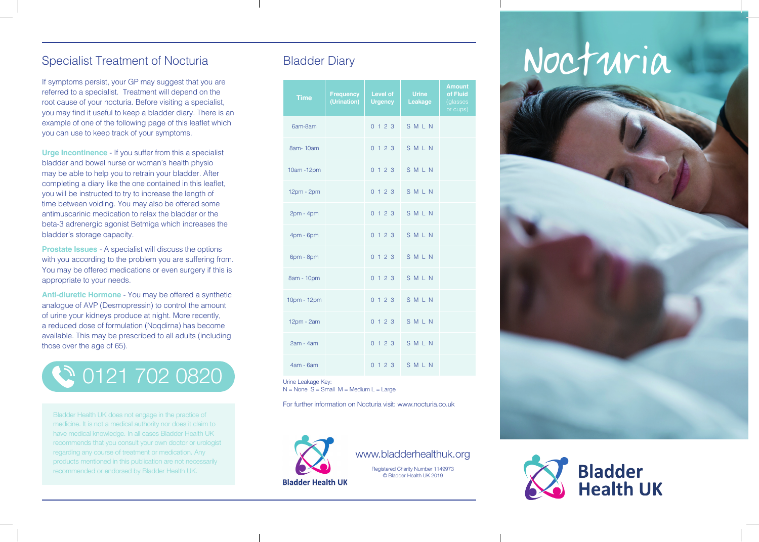### Specialist Treatment of Nocturia

If symptoms persist, your GP may suggest that you are referred to a specialist. Treatment will depend on the root cause of your nocturia. Before visiting a specialist, you may find it useful to keep a bladder diary. There is an example of one of the following page of this leaflet which you can use to keep track of your symptoms.

**Urge Incontinence** - If you suffer from this a specialist bladder and bowel nurse or woman's health physio may be able to help you to retrain your bladder. After completing a diary like the one contained in this leaflet, you will be instructed to try to increase the length of time between voiding. You may also be offered some antimuscarinic medication to relax the bladder or the beta-3 adrenergic agonist Betmiga which increases the bladder's storage capacity.

**Prostate Issues** - A specialist will discuss the options with you according to the problem you are suffering from. You may be offered medications or even surgery if this is appropriate to your needs.

**Anti-diuretic Hormone** - You may be offered a synthetic analogue of AVP (Desmopressin) to control the amount of urine your kidneys produce at night. More recently, a reduced dose of formulation (Noqdirna) has become available. This may be prescribed to all adults (including those over the age of 65).

## 0121 702 0820

Bladder Health UK does not engage in the practice of medicine. It is not a medical authority nor does it claim to have medical knowledge. In all cases Bladder Health UK recommends that you consult your own doctor or urologist regarding any course of treatment or medication. Any products mentioned in this publication are not necessarily recommended or endorsed by Bladder Health UK.

| <b>Time</b>  | <b>Frequency</b><br>(Urination) | <b>Level of</b><br><b>Urgency</b> | <b>Urine</b><br>Leakage | <b>Amount</b><br>of Fluid<br>(glasses<br>or cups) |
|--------------|---------------------------------|-----------------------------------|-------------------------|---------------------------------------------------|
| 6am-8am      |                                 |                                   | 0 1 2 3 S M L N         |                                                   |
| 8am-10am     |                                 |                                   | 0123 SMLN               |                                                   |
| 10am - 12pm  |                                 |                                   | 0123 SMLN               |                                                   |
| 12pm - 2pm   |                                 |                                   | 0123 SMLN               |                                                   |
| $2pm - 4pm$  |                                 |                                   | 0123 SMLN               |                                                   |
| $4pm - 6pm$  |                                 |                                   | 0123 SMLN               |                                                   |
| 6pm - 8pm    |                                 |                                   | 0123 SMLN               |                                                   |
| 8am - 10pm   |                                 |                                   | 0123 SMLN               |                                                   |
| 10pm - 12pm  |                                 | 0 1 2 3                           | SMLN                    |                                                   |
| $12pm - 2am$ |                                 |                                   | 0123 SMLN               |                                                   |
| $2am - 4am$  |                                 |                                   | 0123 SMLN               |                                                   |
| $4am - 6am$  |                                 |                                   | $0123$ SMLN             |                                                   |

Urine Leakage Key:  $N = None S = Small M = Medium L = Large$ 

For further information on Nocturia visit: www.nocturia.co.uk



### www.bladderhealthuk.org

Registered Charity Number 1149973 © Bladder Health UK 2019

# Bladder Diary Nocturia